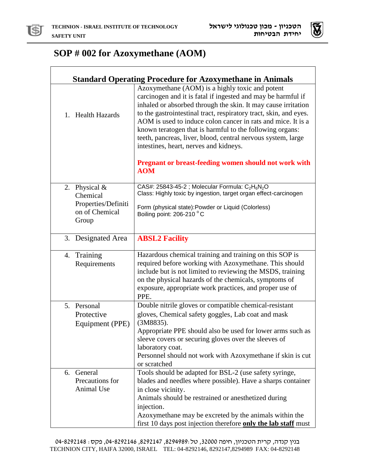



## **SOP # 002 for Azoxymethane (AOM)**

| <b>Standard Operating Procedure for Azoxymethane in Animals</b> |                                                                                                                                                                                                                                                                                                                                                                                                                                                                                             |  |
|-----------------------------------------------------------------|---------------------------------------------------------------------------------------------------------------------------------------------------------------------------------------------------------------------------------------------------------------------------------------------------------------------------------------------------------------------------------------------------------------------------------------------------------------------------------------------|--|
| 1. Health Hazards                                               | Azoxymethane (AOM) is a highly toxic and potent<br>carcinogen and it is fatal if ingested and may be harmful if<br>inhaled or absorbed through the skin. It may cause irritation<br>to the gastrointestinal tract, respiratory tract, skin, and eyes.<br>AOM is used to induce colon cancer in rats and mice. It is a<br>known teratogen that is harmful to the following organs:<br>teeth, pancreas, liver, blood, central nervous system, large<br>intestines, heart, nerves and kidneys. |  |
|                                                                 | <b>Pregnant or breast-feeding women should not work with</b><br><b>AOM</b>                                                                                                                                                                                                                                                                                                                                                                                                                  |  |
| 2. Physical &                                                   | CAS#: 25843-45-2 ; Molecular Formula: C <sub>2</sub> H <sub>6</sub> N <sub>2</sub> O<br>Class: Highly toxic by ingestion, target organ effect-carcinogen                                                                                                                                                                                                                                                                                                                                    |  |
| Chemical<br>Properties/Definiti<br>on of Chemical<br>Group      | Form (physical state): Powder or Liquid (Colorless)<br>Boiling point: 206-210 °C                                                                                                                                                                                                                                                                                                                                                                                                            |  |
| 3. Designated Area                                              | <b>ABSL2 Facility</b>                                                                                                                                                                                                                                                                                                                                                                                                                                                                       |  |
| 4. Training<br>Requirements                                     | Hazardous chemical training and training on this SOP is<br>required before working with Azoxymethane. This should<br>include but is not limited to reviewing the MSDS, training<br>on the physical hazards of the chemicals, symptoms of<br>exposure, appropriate work practices, and proper use of<br>PPE.                                                                                                                                                                                 |  |
| 5. Personal                                                     | Double nitrile gloves or compatible chemical-resistant<br>gloves, Chemical safety goggles, Lab coat and mask                                                                                                                                                                                                                                                                                                                                                                                |  |
| Protective<br>Equipment (PPE)                                   | (3M8835).                                                                                                                                                                                                                                                                                                                                                                                                                                                                                   |  |
|                                                                 | Appropriate PPE should also be used for lower arms such as<br>sleeve covers or securing gloves over the sleeves of<br>laboratory coat.<br>Personnel should not work with Azoxymethane if skin is cut<br>or scratched                                                                                                                                                                                                                                                                        |  |
| 6. General<br>Precautions for                                   | Tools should be adapted for BSL-2 (use safety syringe,<br>blades and needles where possible). Have a sharps container                                                                                                                                                                                                                                                                                                                                                                       |  |
| Animal Use                                                      | in close vicinity.<br>Animals should be restrained or anesthetized during<br>injection.<br>Azoxymethane may be excreted by the animals within the<br>first 10 days post injection therefore only the lab staff must                                                                                                                                                                                                                                                                         |  |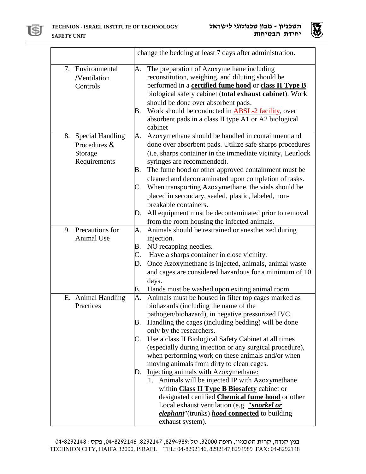



|                                                                | change the bedding at least 7 days after administration.                                                                                                                                                                                                                                                                                                                                                                                                                                                                                                                                                                                                                                                                                                                                                                    |
|----------------------------------------------------------------|-----------------------------------------------------------------------------------------------------------------------------------------------------------------------------------------------------------------------------------------------------------------------------------------------------------------------------------------------------------------------------------------------------------------------------------------------------------------------------------------------------------------------------------------------------------------------------------------------------------------------------------------------------------------------------------------------------------------------------------------------------------------------------------------------------------------------------|
| 7. Environmental<br>/Ventilation<br>Controls                   | The preparation of Azoxymethane including<br>A.<br>reconstitution, weighing, and diluting should be<br>performed in a certified fume hood or class II Type B<br>biological safety cabinet (total exhaust cabinet). Work<br>should be done over absorbent pads.<br>Work should be conducted in ABSL-2 facility, over<br>В.<br>absorbent pads in a class II type A1 or A2 biological<br>cabinet                                                                                                                                                                                                                                                                                                                                                                                                                               |
| 8. Special Handling<br>Procedures &<br>Storage<br>Requirements | Azoxymethane should be handled in containment and<br>A.<br>done over absorbent pads. Utilize safe sharps procedures<br>(i.e. sharps container in the immediate vicinity, Leurlock<br>syringes are recommended).<br>The fume hood or other approved containment must be<br>Β.<br>cleaned and decontaminated upon completion of tasks.<br>When transporting Azoxymethane, the vials should be<br>C.<br>placed in secondary, sealed, plastic, labeled, non-<br>breakable containers.<br>All equipment must be decontaminated prior to removal<br>D.<br>from the room housing the infected animals.                                                                                                                                                                                                                             |
| 9. Precautions for<br>Animal Use                               | Animals should be restrained or anesthetized during<br>A.<br>injection.<br>NO recapping needles.<br>В.<br>Have a sharps container in close vicinity.<br>C.<br>Once Azoxymethane is injected, animals, animal waste<br>D.<br>and cages are considered hazardous for a minimum of 10<br>days.<br>Hands must be washed upon exiting animal room<br>Е.                                                                                                                                                                                                                                                                                                                                                                                                                                                                          |
| E. Animal Handling<br>Practices                                | Animals must be housed in filter top cages marked as<br>A.<br>biohazards (including the name of the<br>pathogen/biohazard), in negative pressurized IVC.<br>Handling the cages (including bedding) will be done<br>В.<br>only by the researchers.<br>Use a class II Biological Safety Cabinet at all times<br>C.<br>(especially during injection or any surgical procedure),<br>when performing work on these animals and/or when<br>moving animals from dirty to clean cages.<br>Injecting animals with Azoxymethane:<br>D.<br>1. Animals will be injected IP with Azoxymethane<br>within <b>Class II Type B Biosafety</b> cabinet or<br>designated certified <b>Chemical fume hood</b> or other<br>Local exhaust ventilation (e.g. <i>"snorkel or</i><br>elephant"(trunks) hood connected to building<br>exhaust system). |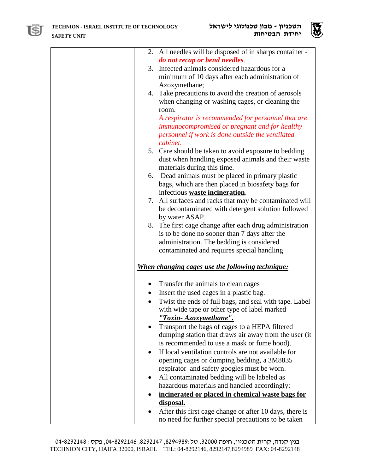



|           | 2. All needles will be disposed of in sharps container - |
|-----------|----------------------------------------------------------|
|           | do not recap or bend needles.                            |
|           | 3. Infected animals considered hazardous for a           |
|           | minimum of 10 days after each administration of          |
|           | Azoxymethane;                                            |
|           | 4. Take precautions to avoid the creation of aerosols    |
|           | when changing or washing cages, or cleaning the          |
|           |                                                          |
|           | room.                                                    |
|           | A respirator is recommended for personnel that are       |
|           | immunocompromised or pregnant and for healthy            |
|           | personnel if work is done outside the ventilated         |
|           | cabinet.                                                 |
|           | 5. Care should be taken to avoid exposure to bedding     |
|           | dust when handling exposed animals and their waste       |
|           | materials during this time.                              |
|           | 6. Dead animals must be placed in primary plastic        |
|           | bags, which are then placed in biosafety bags for        |
|           | infectious waste incineration.                           |
|           | 7. All surfaces and racks that may be contaminated will  |
|           | be decontaminated with detergent solution followed       |
|           | by water ASAP.                                           |
|           |                                                          |
|           | 8. The first cage change after each drug administration  |
|           | is to be done no sooner than 7 days after the            |
|           | administration. The bedding is considered                |
|           | contaminated and requires special handling               |
|           |                                                          |
|           | <u>When changing cages use the following technique:</u>  |
| $\bullet$ | Transfer the animals to clean cages                      |
|           | Insert the used cages in a plastic bag.                  |
| $\bullet$ | Twist the ends of full bags, and seal with tape. Label   |
|           |                                                          |
|           | with wide tape or other type of label marked             |
|           | "Toxin-Azoxymethane".                                    |
|           | Transport the bags of cages to a HEPA filtered           |
|           | dumping station that draws air away from the user (it)   |
|           | is recommended to use a mask or fume hood).              |
|           | If local ventilation controls are not available for      |
|           | opening cages or dumping bedding, a 3M8835               |
|           | respirator and safety googles must be worn.              |
|           | All contaminated bedding will be labeled as              |
|           | hazardous materials and handled accordingly:             |
|           |                                                          |
|           | incinerated or placed in chemical waste bags for         |
|           | disposal.                                                |
|           | After this first cage change or after 10 days, there is  |
|           | no need for further special precautions to be taken      |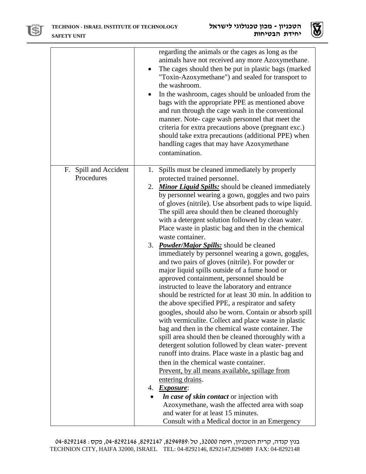



|                          | regarding the animals or the cages as long as the<br>animals have not received any more Azoxymethane.<br>The cages should then be put in plastic bags (marked<br>"Toxin-Azoxymethane") and sealed for transport to<br>the washroom.<br>In the washroom, cages should be unloaded from the<br>bags with the appropriate PPE as mentioned above<br>and run through the cage wash in the conventional<br>manner. Note-cage wash personnel that meet the<br>criteria for extra precautions above (pregnant exc.)<br>should take extra precautions (additional PPE) when<br>handling cages that may have Azoxymethane<br>contamination. |
|--------------------------|------------------------------------------------------------------------------------------------------------------------------------------------------------------------------------------------------------------------------------------------------------------------------------------------------------------------------------------------------------------------------------------------------------------------------------------------------------------------------------------------------------------------------------------------------------------------------------------------------------------------------------|
| Spill and Accident<br>F. | Spills must be cleaned immediately by properly<br>1.                                                                                                                                                                                                                                                                                                                                                                                                                                                                                                                                                                               |
| Procedures               | protected trained personnel.                                                                                                                                                                                                                                                                                                                                                                                                                                                                                                                                                                                                       |
|                          | 2. Minor Liquid Spills: should be cleaned immediately                                                                                                                                                                                                                                                                                                                                                                                                                                                                                                                                                                              |
|                          | by personnel wearing a gown, goggles and two pairs                                                                                                                                                                                                                                                                                                                                                                                                                                                                                                                                                                                 |
|                          | of gloves (nitrile). Use absorbent pads to wipe liquid.<br>The spill area should then be cleaned thoroughly                                                                                                                                                                                                                                                                                                                                                                                                                                                                                                                        |
|                          | with a detergent solution followed by clean water.                                                                                                                                                                                                                                                                                                                                                                                                                                                                                                                                                                                 |
|                          | Place waste in plastic bag and then in the chemical                                                                                                                                                                                                                                                                                                                                                                                                                                                                                                                                                                                |
|                          | waste container.                                                                                                                                                                                                                                                                                                                                                                                                                                                                                                                                                                                                                   |
|                          | 3. <i>Powder/Major Spills:</i> should be cleaned                                                                                                                                                                                                                                                                                                                                                                                                                                                                                                                                                                                   |
|                          | immediately by personnel wearing a gown, goggles,                                                                                                                                                                                                                                                                                                                                                                                                                                                                                                                                                                                  |
|                          | and two pairs of gloves (nitrile). For powder or<br>major liquid spills outside of a fume hood or                                                                                                                                                                                                                                                                                                                                                                                                                                                                                                                                  |
|                          | approved containment, personnel should be                                                                                                                                                                                                                                                                                                                                                                                                                                                                                                                                                                                          |
|                          | instructed to leave the laboratory and entrance                                                                                                                                                                                                                                                                                                                                                                                                                                                                                                                                                                                    |
|                          | should be restricted for at least 30 min. In addition to                                                                                                                                                                                                                                                                                                                                                                                                                                                                                                                                                                           |
|                          | the above specified PPE, a respirator and safety                                                                                                                                                                                                                                                                                                                                                                                                                                                                                                                                                                                   |
|                          | googles, should also be worn. Contain or absorb spill                                                                                                                                                                                                                                                                                                                                                                                                                                                                                                                                                                              |
|                          | with vermiculite. Collect and place waste in plastic                                                                                                                                                                                                                                                                                                                                                                                                                                                                                                                                                                               |
|                          | bag and then in the chemical waste container. The<br>spill area should then be cleaned thoroughly with a                                                                                                                                                                                                                                                                                                                                                                                                                                                                                                                           |
|                          | detergent solution followed by clean water-prevent                                                                                                                                                                                                                                                                                                                                                                                                                                                                                                                                                                                 |
|                          | runoff into drains. Place waste in a plastic bag and                                                                                                                                                                                                                                                                                                                                                                                                                                                                                                                                                                               |
|                          | then in the chemical waste container.                                                                                                                                                                                                                                                                                                                                                                                                                                                                                                                                                                                              |
|                          | Prevent, by all means available, spillage from                                                                                                                                                                                                                                                                                                                                                                                                                                                                                                                                                                                     |
|                          | entering drains.                                                                                                                                                                                                                                                                                                                                                                                                                                                                                                                                                                                                                   |
|                          | 4. Exposure:                                                                                                                                                                                                                                                                                                                                                                                                                                                                                                                                                                                                                       |
|                          | <i>In case of skin contact</i> or injection with<br>Azoxymethane, wash the affected area with soap                                                                                                                                                                                                                                                                                                                                                                                                                                                                                                                                 |
|                          | and water for at least 15 minutes.                                                                                                                                                                                                                                                                                                                                                                                                                                                                                                                                                                                                 |
|                          | Consult with a Medical doctor in an Emergency                                                                                                                                                                                                                                                                                                                                                                                                                                                                                                                                                                                      |